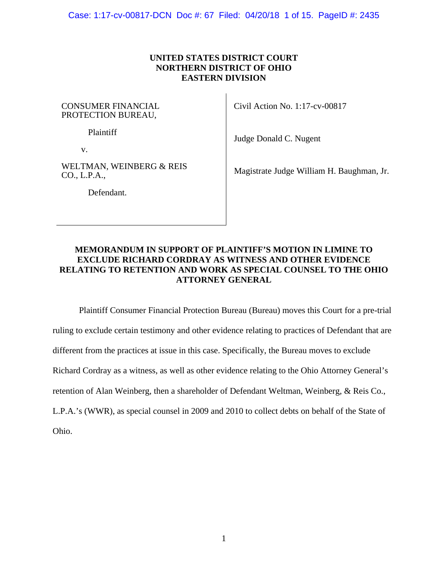Case: 1:17-cv-00817-DCN Doc #: 67 Filed: 04/20/18 1 of 15. PageID #: 2435

## **UNITED STATES DISTRICT COURT NORTHERN DISTRICT OF OHIO EASTERN DIVISION**

CONSUMER FINANCIAL PROTECTION BUREAU,

Plaintiff

v.

WELTMAN, WEINBERG & REIS CO., L.P.A.,

Civil Action No. 1:17-cv-00817

Judge Donald C. Nugent

Magistrate Judge William H. Baughman, Jr.

Defendant.

# **MEMORANDUM IN SUPPORT OF PLAINTIFF'S MOTION IN LIMINE TO EXCLUDE RICHARD CORDRAY AS WITNESS AND OTHER EVIDENCE RELATING TO RETENTION AND WORK AS SPECIAL COUNSEL TO THE OHIO ATTORNEY GENERAL**

Plaintiff Consumer Financial Protection Bureau (Bureau) moves this Court for a pre-trial ruling to exclude certain testimony and other evidence relating to practices of Defendant that are different from the practices at issue in this case. Specifically, the Bureau moves to exclude Richard Cordray as a witness, as well as other evidence relating to the Ohio Attorney General's retention of Alan Weinberg, then a shareholder of Defendant Weltman, Weinberg, & Reis Co., L.P.A.'s (WWR), as special counsel in 2009 and 2010 to collect debts on behalf of the State of Ohio.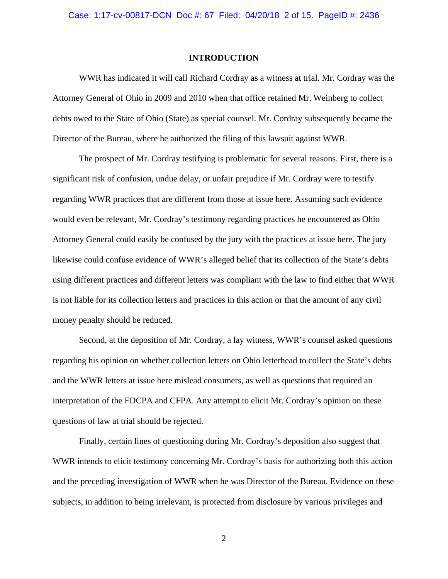#### **INTRODUCTION**

WWR has indicated it will call Richard Cordray as a witness at trial. Mr. Cordray was the Attorney General of Ohio in 2009 and 2010 when that office retained Mr. Weinberg to collect debts owed to the State of Ohio (State) as special counsel. Mr. Cordray subsequently became the Director of the Bureau, where he authorized the filing of this lawsuit against WWR.

The prospect of Mr. Cordray testifying is problematic for several reasons. First, there is a significant risk of confusion, undue delay, or unfair prejudice if Mr. Cordray were to testify regarding WWR practices that are different from those at issue here. Assuming such evidence would even be relevant, Mr. Cordray's testimony regarding practices he encountered as Ohio Attorney General could easily be confused by the jury with the practices at issue here. The jury likewise could confuse evidence of WWR's alleged belief that its collection of the State's debts using different practices and different letters was compliant with the law to find either that WWR is not liable for its collection letters and practices in this action or that the amount of any civil money penalty should be reduced.

Second, at the deposition of Mr. Cordray, a lay witness, WWR's counsel asked questions regarding his opinion on whether collection letters on Ohio letterhead to collect the State's debts and the WWR letters at issue here mislead consumers, as well as questions that required an interpretation of the FDCPA and CFPA. Any attempt to elicit Mr. Cordray's opinion on these questions of law at trial should be rejected.

Finally, certain lines of questioning during Mr. Cordray's deposition also suggest that WWR intends to elicit testimony concerning Mr. Cordray's basis for authorizing both this action and the preceding investigation of WWR when he was Director of the Bureau. Evidence on these subjects, in addition to being irrelevant, is protected from disclosure by various privileges and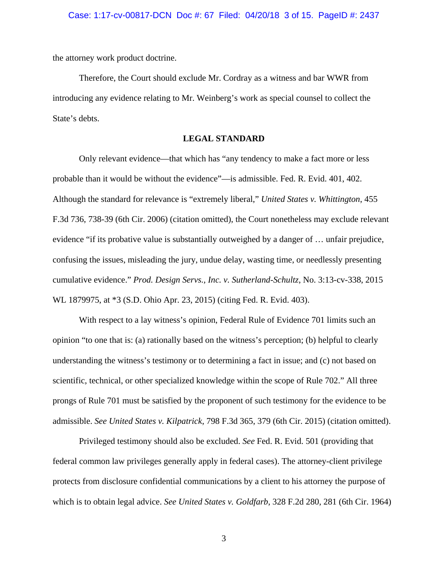the attorney work product doctrine.

Therefore, the Court should exclude Mr. Cordray as a witness and bar WWR from introducing any evidence relating to Mr. Weinberg's work as special counsel to collect the State's debts.

### **LEGAL STANDARD**

Only relevant evidence—that which has "any tendency to make a fact more or less probable than it would be without the evidence"—is admissible. Fed. R. Evid. 401, 402. Although the standard for relevance is "extremely liberal," *United States v. Whittington*, 455 F.3d 736, 738-39 (6th Cir. 2006) (citation omitted), the Court nonetheless may exclude relevant evidence "if its probative value is substantially outweighed by a danger of … unfair prejudice, confusing the issues, misleading the jury, undue delay, wasting time, or needlessly presenting cumulative evidence." *Prod. Design Servs., Inc. v. Sutherland-Schultz*, No. 3:13-cv-338, 2015 WL 1879975, at \*3 (S.D. Ohio Apr. 23, 2015) (citing Fed. R. Evid. 403).

With respect to a lay witness's opinion, Federal Rule of Evidence 701 limits such an opinion "to one that is: (a) rationally based on the witness's perception; (b) helpful to clearly understanding the witness's testimony or to determining a fact in issue; and (c) not based on scientific, technical, or other specialized knowledge within the scope of Rule 702." All three prongs of Rule 701 must be satisfied by the proponent of such testimony for the evidence to be admissible. *See United States v. Kilpatrick*, 798 F.3d 365, 379 (6th Cir. 2015) (citation omitted).

Privileged testimony should also be excluded. *See* Fed. R. Evid. 501 (providing that federal common law privileges generally apply in federal cases). The attorney-client privilege protects from disclosure confidential communications by a client to his attorney the purpose of which is to obtain legal advice. *See United States v. Goldfarb*, 328 F.2d 280, 281 (6th Cir. 1964)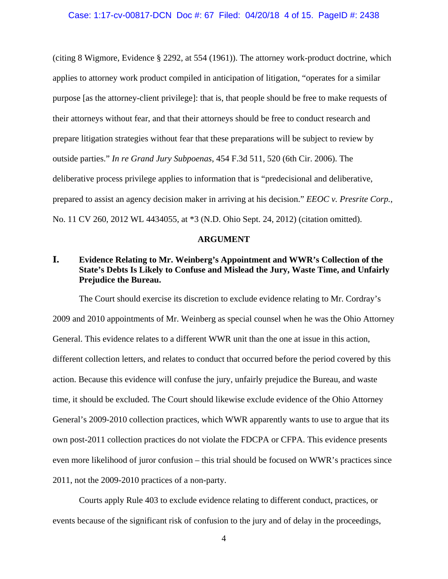(citing 8 Wigmore, Evidence § 2292, at 554 (1961)). The attorney work-product doctrine, which applies to attorney work product compiled in anticipation of litigation, "operates for a similar purpose [as the attorney-client privilege]: that is, that people should be free to make requests of their attorneys without fear, and that their attorneys should be free to conduct research and prepare litigation strategies without fear that these preparations will be subject to review by outside parties." *In re Grand Jury Subpoenas*, 454 F.3d 511, 520 (6th Cir. 2006). The deliberative process privilege applies to information that is "predecisional and deliberative, prepared to assist an agency decision maker in arriving at his decision." *EEOC v. Presrite Corp.*, No. 11 CV 260, 2012 WL 4434055, at \*3 (N.D. Ohio Sept. 24, 2012) (citation omitted).

### **ARGUMENT**

# **I. Evidence Relating to Mr. Weinberg's Appointment and WWR's Collection of the State's Debts Is Likely to Confuse and Mislead the Jury, Waste Time, and Unfairly Prejudice the Bureau.**

The Court should exercise its discretion to exclude evidence relating to Mr. Cordray's 2009 and 2010 appointments of Mr. Weinberg as special counsel when he was the Ohio Attorney General. This evidence relates to a different WWR unit than the one at issue in this action, different collection letters, and relates to conduct that occurred before the period covered by this action. Because this evidence will confuse the jury, unfairly prejudice the Bureau, and waste time, it should be excluded. The Court should likewise exclude evidence of the Ohio Attorney General's 2009-2010 collection practices, which WWR apparently wants to use to argue that its own post-2011 collection practices do not violate the FDCPA or CFPA. This evidence presents even more likelihood of juror confusion – this trial should be focused on WWR's practices since 2011, not the 2009-2010 practices of a non-party.

Courts apply Rule 403 to exclude evidence relating to different conduct, practices, or events because of the significant risk of confusion to the jury and of delay in the proceedings,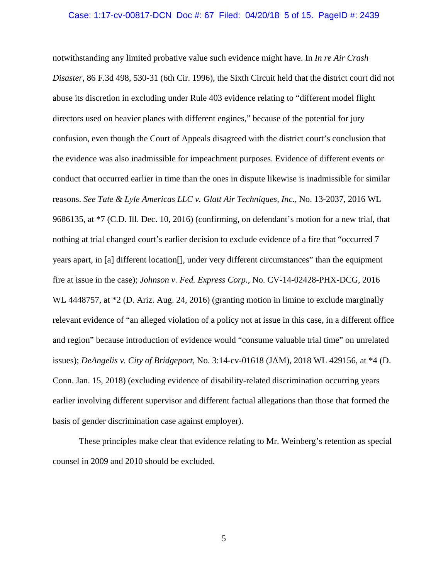#### Case: 1:17-cv-00817-DCN Doc #: 67 Filed: 04/20/18 5 of 15. PageID #: 2439

notwithstanding any limited probative value such evidence might have. In *In re Air Crash Disaster*, 86 F.3d 498, 530-31 (6th Cir. 1996), the Sixth Circuit held that the district court did not abuse its discretion in excluding under Rule 403 evidence relating to "different model flight directors used on heavier planes with different engines," because of the potential for jury confusion, even though the Court of Appeals disagreed with the district court's conclusion that the evidence was also inadmissible for impeachment purposes. Evidence of different events or conduct that occurred earlier in time than the ones in dispute likewise is inadmissible for similar reasons. *See Tate & Lyle Americas LLC v. Glatt Air Techniques, Inc.*, No. 13-2037, 2016 WL 9686135, at \*7 (C.D. Ill. Dec. 10, 2016) (confirming, on defendant's motion for a new trial, that nothing at trial changed court's earlier decision to exclude evidence of a fire that "occurred 7 years apart, in [a] different location[], under very different circumstances" than the equipment fire at issue in the case); *Johnson v. Fed. Express Corp.*, No. CV-14-02428-PHX-DCG, 2016 WL 4448757, at  $*2$  (D. Ariz. Aug. 24, 2016) (granting motion in limine to exclude marginally relevant evidence of "an alleged violation of a policy not at issue in this case, in a different office and region" because introduction of evidence would "consume valuable trial time" on unrelated issues); *DeAngelis v. City of Bridgeport*, No. 3:14-cv-01618 (JAM), 2018 WL 429156, at \*4 (D. Conn. Jan. 15, 2018) (excluding evidence of disability-related discrimination occurring years earlier involving different supervisor and different factual allegations than those that formed the basis of gender discrimination case against employer).

These principles make clear that evidence relating to Mr. Weinberg's retention as special counsel in 2009 and 2010 should be excluded.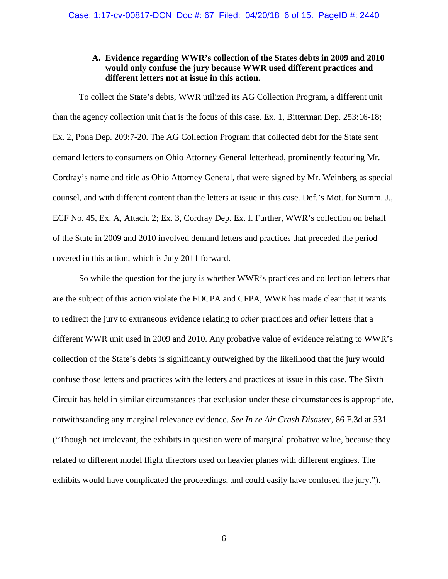## **A. Evidence regarding WWR's collection of the States debts in 2009 and 2010 would only confuse the jury because WWR used different practices and different letters not at issue in this action.**

To collect the State's debts, WWR utilized its AG Collection Program, a different unit than the agency collection unit that is the focus of this case. Ex. 1, Bitterman Dep. 253:16-18; Ex. 2, Pona Dep. 209:7-20. The AG Collection Program that collected debt for the State sent demand letters to consumers on Ohio Attorney General letterhead, prominently featuring Mr. Cordray's name and title as Ohio Attorney General, that were signed by Mr. Weinberg as special counsel, and with different content than the letters at issue in this case. Def.'s Mot. for Summ. J., ECF No. 45, Ex. A, Attach. 2; Ex. 3, Cordray Dep. Ex. I. Further, WWR's collection on behalf of the State in 2009 and 2010 involved demand letters and practices that preceded the period covered in this action, which is July 2011 forward.

So while the question for the jury is whether WWR's practices and collection letters that are the subject of this action violate the FDCPA and CFPA, WWR has made clear that it wants to redirect the jury to extraneous evidence relating to *other* practices and *other* letters that a different WWR unit used in 2009 and 2010. Any probative value of evidence relating to WWR's collection of the State's debts is significantly outweighed by the likelihood that the jury would confuse those letters and practices with the letters and practices at issue in this case. The Sixth Circuit has held in similar circumstances that exclusion under these circumstances is appropriate, notwithstanding any marginal relevance evidence. *See In re Air Crash Disaster*, 86 F.3d at 531 ("Though not irrelevant, the exhibits in question were of marginal probative value, because they related to different model flight directors used on heavier planes with different engines. The exhibits would have complicated the proceedings, and could easily have confused the jury.").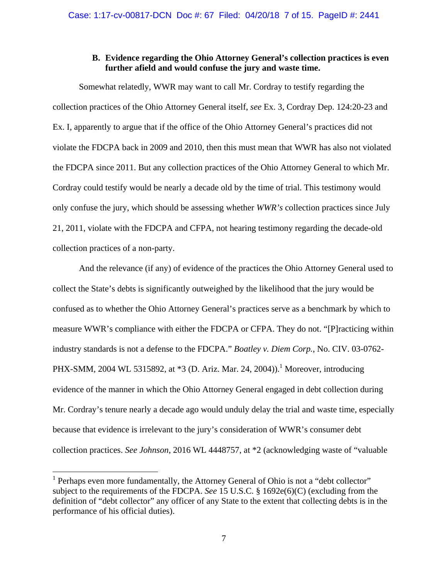### **B. Evidence regarding the Ohio Attorney General's collection practices is even further afield and would confuse the jury and waste time.**

Somewhat relatedly, WWR may want to call Mr. Cordray to testify regarding the collection practices of the Ohio Attorney General itself, *see* Ex. 3, Cordray Dep. 124:20-23 and Ex. I, apparently to argue that if the office of the Ohio Attorney General's practices did not violate the FDCPA back in 2009 and 2010, then this must mean that WWR has also not violated the FDCPA since 2011. But any collection practices of the Ohio Attorney General to which Mr. Cordray could testify would be nearly a decade old by the time of trial. This testimony would only confuse the jury, which should be assessing whether *WWR's* collection practices since July 21, 2011, violate with the FDCPA and CFPA, not hearing testimony regarding the decade-old collection practices of a non-party.

And the relevance (if any) of evidence of the practices the Ohio Attorney General used to collect the State's debts is significantly outweighed by the likelihood that the jury would be confused as to whether the Ohio Attorney General's practices serve as a benchmark by which to measure WWR's compliance with either the FDCPA or CFPA. They do not. "[P]racticing within industry standards is not a defense to the FDCPA." *Boatley v. Diem Corp.*, No. CIV. 03-0762- PHX-SMM, 2004 WL 5315892, at \*3 (D. Ariz. Mar. 24, 2004)).<sup>1</sup> Moreover, introducing evidence of the manner in which the Ohio Attorney General engaged in debt collection during Mr. Cordray's tenure nearly a decade ago would unduly delay the trial and waste time, especially because that evidence is irrelevant to the jury's consideration of WWR's consumer debt collection practices. *See Johnson*, 2016 WL 4448757, at \*2 (acknowledging waste of "valuable

<sup>&</sup>lt;sup>1</sup> Perhaps even more fundamentally, the Attorney General of Ohio is not a "debt collector" subject to the requirements of the FDCPA. *See* 15 U.S.C. § 1692e(6)(C) (excluding from the definition of "debt collector" any officer of any State to the extent that collecting debts is in the performance of his official duties).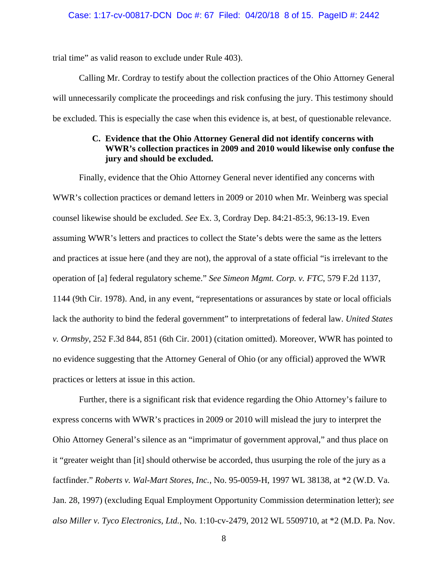trial time" as valid reason to exclude under Rule 403).

Calling Mr. Cordray to testify about the collection practices of the Ohio Attorney General will unnecessarily complicate the proceedings and risk confusing the jury. This testimony should be excluded. This is especially the case when this evidence is, at best, of questionable relevance.

## **C. Evidence that the Ohio Attorney General did not identify concerns with WWR's collection practices in 2009 and 2010 would likewise only confuse the jury and should be excluded.**

Finally, evidence that the Ohio Attorney General never identified any concerns with WWR's collection practices or demand letters in 2009 or 2010 when Mr. Weinberg was special counsel likewise should be excluded. *See* Ex. 3, Cordray Dep. 84:21-85:3, 96:13-19. Even assuming WWR's letters and practices to collect the State's debts were the same as the letters and practices at issue here (and they are not), the approval of a state official "is irrelevant to the operation of [a] federal regulatory scheme." *See Simeon Mgmt. Corp. v. FTC*, 579 F.2d 1137, 1144 (9th Cir. 1978). And, in any event, "representations or assurances by state or local officials lack the authority to bind the federal government" to interpretations of federal law. *United States v. Ormsby*, 252 F.3d 844, 851 (6th Cir. 2001) (citation omitted). Moreover, WWR has pointed to no evidence suggesting that the Attorney General of Ohio (or any official) approved the WWR practices or letters at issue in this action.

Further, there is a significant risk that evidence regarding the Ohio Attorney's failure to express concerns with WWR's practices in 2009 or 2010 will mislead the jury to interpret the Ohio Attorney General's silence as an "imprimatur of government approval," and thus place on it "greater weight than [it] should otherwise be accorded, thus usurping the role of the jury as a factfinder." *Roberts v. Wal-Mart Stores, Inc.*, No. 95-0059-H, 1997 WL 38138, at \*2 (W.D. Va. Jan. 28, 1997) (excluding Equal Employment Opportunity Commission determination letter); *see also Miller v. Tyco Electronics, Ltd.*, No. 1:10-cv-2479, 2012 WL 5509710, at \*2 (M.D. Pa. Nov.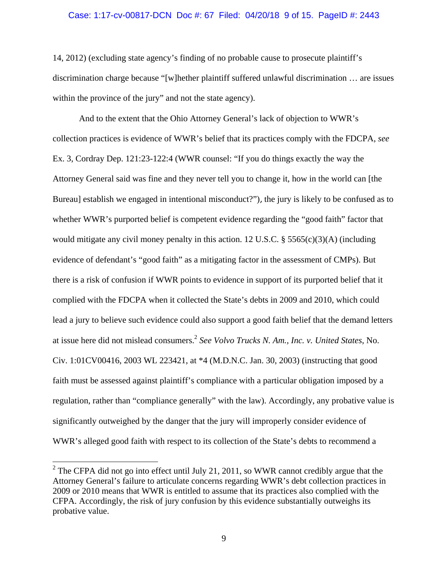#### Case: 1:17-cv-00817-DCN Doc #: 67 Filed: 04/20/18 9 of 15. PageID #: 2443

14, 2012) (excluding state agency's finding of no probable cause to prosecute plaintiff's discrimination charge because "[w]hether plaintiff suffered unlawful discrimination … are issues within the province of the jury" and not the state agency).

And to the extent that the Ohio Attorney General's lack of objection to WWR's collection practices is evidence of WWR's belief that its practices comply with the FDCPA, *see*  Ex. 3, Cordray Dep. 121:23-122:4 (WWR counsel: "If you do things exactly the way the Attorney General said was fine and they never tell you to change it, how in the world can [the Bureau] establish we engaged in intentional misconduct?"), the jury is likely to be confused as to whether WWR's purported belief is competent evidence regarding the "good faith" factor that would mitigate any civil money penalty in this action. 12 U.S.C.  $\S$  5565(c)(3)(A) (including evidence of defendant's "good faith" as a mitigating factor in the assessment of CMPs). But there is a risk of confusion if WWR points to evidence in support of its purported belief that it complied with the FDCPA when it collected the State's debts in 2009 and 2010, which could lead a jury to believe such evidence could also support a good faith belief that the demand letters at issue here did not mislead consumers.2 *See Volvo Trucks N. Am., Inc. v. United States*, No. Civ. 1:01CV00416, 2003 WL 223421, at \*4 (M.D.N.C. Jan. 30, 2003) (instructing that good faith must be assessed against plaintiff's compliance with a particular obligation imposed by a regulation, rather than "compliance generally" with the law). Accordingly, any probative value is significantly outweighed by the danger that the jury will improperly consider evidence of WWR's alleged good faith with respect to its collection of the State's debts to recommend a

<sup>&</sup>lt;sup>2</sup> The CFPA did not go into effect until July 21, 2011, so WWR cannot credibly argue that the Attorney General's failure to articulate concerns regarding WWR's debt collection practices in 2009 or 2010 means that WWR is entitled to assume that its practices also complied with the CFPA. Accordingly, the risk of jury confusion by this evidence substantially outweighs its probative value.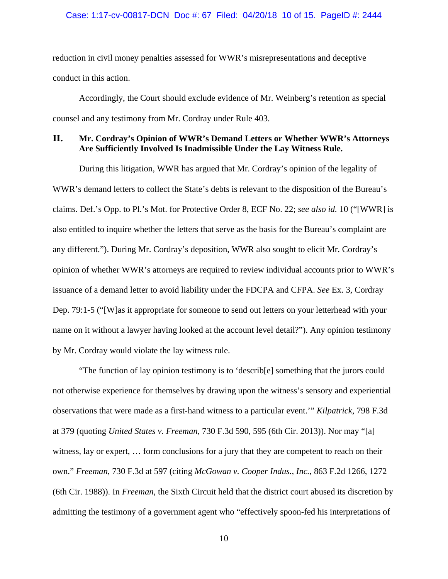reduction in civil money penalties assessed for WWR's misrepresentations and deceptive conduct in this action.

Accordingly, the Court should exclude evidence of Mr. Weinberg's retention as special counsel and any testimony from Mr. Cordray under Rule 403.

## **II. Mr. Cordray's Opinion of WWR's Demand Letters or Whether WWR's Attorneys Are Sufficiently Involved Is Inadmissible Under the Lay Witness Rule.**

During this litigation, WWR has argued that Mr. Cordray's opinion of the legality of WWR's demand letters to collect the State's debts is relevant to the disposition of the Bureau's claims. Def.'s Opp. to Pl.'s Mot. for Protective Order 8, ECF No. 22; *see also id.* 10 ("[WWR] is also entitled to inquire whether the letters that serve as the basis for the Bureau's complaint are any different."). During Mr. Cordray's deposition, WWR also sought to elicit Mr. Cordray's opinion of whether WWR's attorneys are required to review individual accounts prior to WWR's issuance of a demand letter to avoid liability under the FDCPA and CFPA. *See* Ex. 3, Cordray Dep. 79:1-5 ("[W]as it appropriate for someone to send out letters on your letterhead with your name on it without a lawyer having looked at the account level detail?"). Any opinion testimony by Mr. Cordray would violate the lay witness rule.

"The function of lay opinion testimony is to 'describ[e] something that the jurors could not otherwise experience for themselves by drawing upon the witness's sensory and experiential observations that were made as a first-hand witness to a particular event.'" *Kilpatrick*, 798 F.3d at 379 (quoting *United States v. Freeman*, 730 F.3d 590, 595 (6th Cir. 2013)). Nor may "[a] witness, lay or expert, … form conclusions for a jury that they are competent to reach on their own." *Freeman*, 730 F.3d at 597 (citing *McGowan v. Cooper Indus., Inc.*, 863 F.2d 1266, 1272 (6th Cir. 1988)). In *Freeman*, the Sixth Circuit held that the district court abused its discretion by admitting the testimony of a government agent who "effectively spoon-fed his interpretations of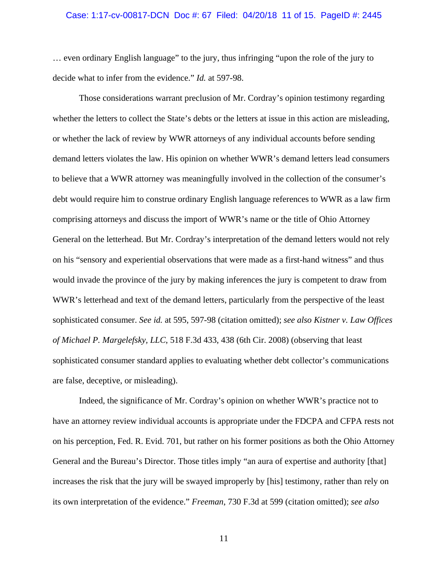#### Case: 1:17-cv-00817-DCN Doc #: 67 Filed: 04/20/18 11 of 15. PageID #: 2445

… even ordinary English language" to the jury, thus infringing "upon the role of the jury to decide what to infer from the evidence." *Id.* at 597-98.

Those considerations warrant preclusion of Mr. Cordray's opinion testimony regarding whether the letters to collect the State's debts or the letters at issue in this action are misleading, or whether the lack of review by WWR attorneys of any individual accounts before sending demand letters violates the law. His opinion on whether WWR's demand letters lead consumers to believe that a WWR attorney was meaningfully involved in the collection of the consumer's debt would require him to construe ordinary English language references to WWR as a law firm comprising attorneys and discuss the import of WWR's name or the title of Ohio Attorney General on the letterhead. But Mr. Cordray's interpretation of the demand letters would not rely on his "sensory and experiential observations that were made as a first-hand witness" and thus would invade the province of the jury by making inferences the jury is competent to draw from WWR's letterhead and text of the demand letters, particularly from the perspective of the least sophisticated consumer. *See id.* at 595, 597-98 (citation omitted); *see also Kistner v. Law Offices of Michael P. Margelefsky, LLC*, 518 F.3d 433, 438 (6th Cir. 2008) (observing that least sophisticated consumer standard applies to evaluating whether debt collector's communications are false, deceptive, or misleading).

Indeed, the significance of Mr. Cordray's opinion on whether WWR's practice not to have an attorney review individual accounts is appropriate under the FDCPA and CFPA rests not on his perception, Fed. R. Evid. 701, but rather on his former positions as both the Ohio Attorney General and the Bureau's Director. Those titles imply "an aura of expertise and authority [that] increases the risk that the jury will be swayed improperly by [his] testimony, rather than rely on its own interpretation of the evidence." *Freeman*, 730 F.3d at 599 (citation omitted); *see also*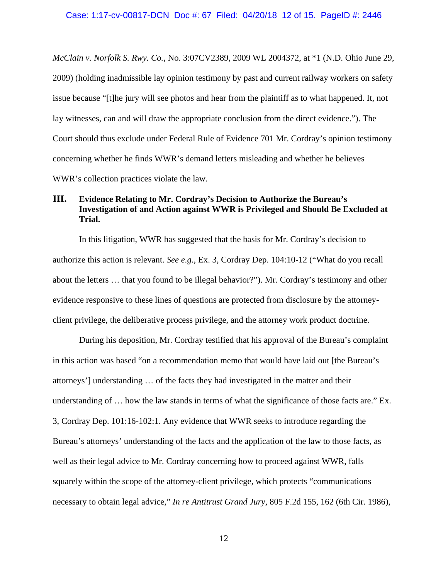*McClain v. Norfolk S. Rwy. Co.*, No. 3:07CV2389, 2009 WL 2004372, at \*1 (N.D. Ohio June 29, 2009) (holding inadmissible lay opinion testimony by past and current railway workers on safety issue because "[t]he jury will see photos and hear from the plaintiff as to what happened. It, not lay witnesses, can and will draw the appropriate conclusion from the direct evidence."). The Court should thus exclude under Federal Rule of Evidence 701 Mr. Cordray's opinion testimony concerning whether he finds WWR's demand letters misleading and whether he believes WWR's collection practices violate the law.

# **III. Evidence Relating to Mr. Cordray's Decision to Authorize the Bureau's Investigation of and Action against WWR is Privileged and Should Be Excluded at Trial.**

In this litigation, WWR has suggested that the basis for Mr. Cordray's decision to authorize this action is relevant. *See e.g.*, Ex. 3, Cordray Dep. 104:10-12 ("What do you recall about the letters … that you found to be illegal behavior?"). Mr. Cordray's testimony and other evidence responsive to these lines of questions are protected from disclosure by the attorneyclient privilege, the deliberative process privilege, and the attorney work product doctrine.

During his deposition, Mr. Cordray testified that his approval of the Bureau's complaint in this action was based "on a recommendation memo that would have laid out [the Bureau's attorneys'] understanding … of the facts they had investigated in the matter and their understanding of … how the law stands in terms of what the significance of those facts are." Ex. 3, Cordray Dep. 101:16-102:1. Any evidence that WWR seeks to introduce regarding the Bureau's attorneys' understanding of the facts and the application of the law to those facts, as well as their legal advice to Mr. Cordray concerning how to proceed against WWR, falls squarely within the scope of the attorney-client privilege, which protects "communications necessary to obtain legal advice," *In re Antitrust Grand Jury*, 805 F.2d 155, 162 (6th Cir. 1986),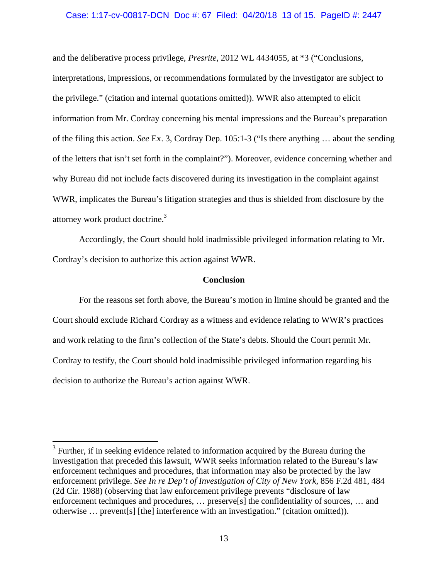#### Case: 1:17-cv-00817-DCN Doc #: 67 Filed: 04/20/18 13 of 15. PageID #: 2447

and the deliberative process privilege, *Presrite*, 2012 WL 4434055, at \*3 ("Conclusions, interpretations, impressions, or recommendations formulated by the investigator are subject to the privilege." (citation and internal quotations omitted)). WWR also attempted to elicit information from Mr. Cordray concerning his mental impressions and the Bureau's preparation of the filing this action. *See* Ex. 3, Cordray Dep. 105:1-3 ("Is there anything … about the sending of the letters that isn't set forth in the complaint?"). Moreover, evidence concerning whether and why Bureau did not include facts discovered during its investigation in the complaint against WWR, implicates the Bureau's litigation strategies and thus is shielded from disclosure by the attorney work product doctrine.<sup>3</sup>

Accordingly, the Court should hold inadmissible privileged information relating to Mr. Cordray's decision to authorize this action against WWR.

### **Conclusion**

For the reasons set forth above, the Bureau's motion in limine should be granted and the Court should exclude Richard Cordray as a witness and evidence relating to WWR's practices and work relating to the firm's collection of the State's debts. Should the Court permit Mr. Cordray to testify, the Court should hold inadmissible privileged information regarding his decision to authorize the Bureau's action against WWR.

<sup>&</sup>lt;sup>3</sup> Further, if in seeking evidence related to information acquired by the Bureau during the investigation that preceded this lawsuit, WWR seeks information related to the Bureau's law enforcement techniques and procedures, that information may also be protected by the law enforcement privilege. *See In re Dep't of Investigation of City of New York*, 856 F.2d 481, 484 (2d Cir. 1988) (observing that law enforcement privilege prevents "disclosure of law enforcement techniques and procedures, … preserve[s] the confidentiality of sources, … and otherwise … prevent[s] [the] interference with an investigation." (citation omitted)).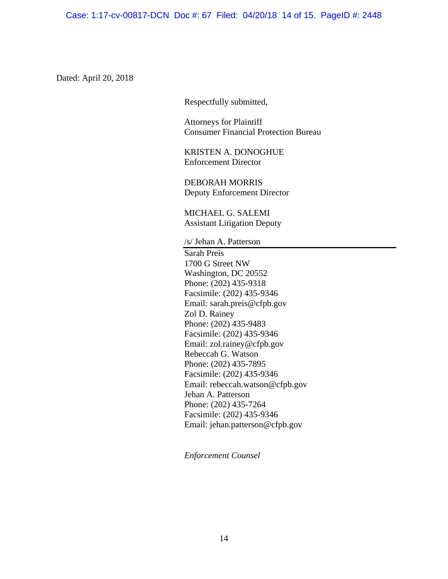Case: 1:17-cv-00817-DCN Doc #: 67 Filed: 04/20/18 14 of 15. PageID #: 2448

Dated: April 20, 2018

Respectfully submitted,

Attorneys for Plaintiff Consumer Financial Protection Bureau

KRISTEN A. DONOGHUE Enforcement Director

DEBORAH MORRIS Deputy Enforcement Director

MICHAEL G. SALEMI Assistant Litigation Deputy

/s/ Jehan A. Patterson

Sarah Preis 1700 G Street NW Washington, DC 20552 Phone: (202) 435-9318 Facsimile: (202) 435-9346 Email: sarah.preis@cfpb.gov Zol D. Rainey Phone: (202) 435-9483 Facsimile: (202) 435-9346 Email: zol.rainey@cfpb.gov Rebeccah G. Watson Phone: (202) 435-7895 Facsimile: (202) 435-9346 Email: rebeccah.watson@cfpb.gov Jehan A. Patterson Phone: (202) 435-7264 Facsimile: (202) 435-9346 Email: jehan.patterson@cfpb.gov

*Enforcement Counsel*